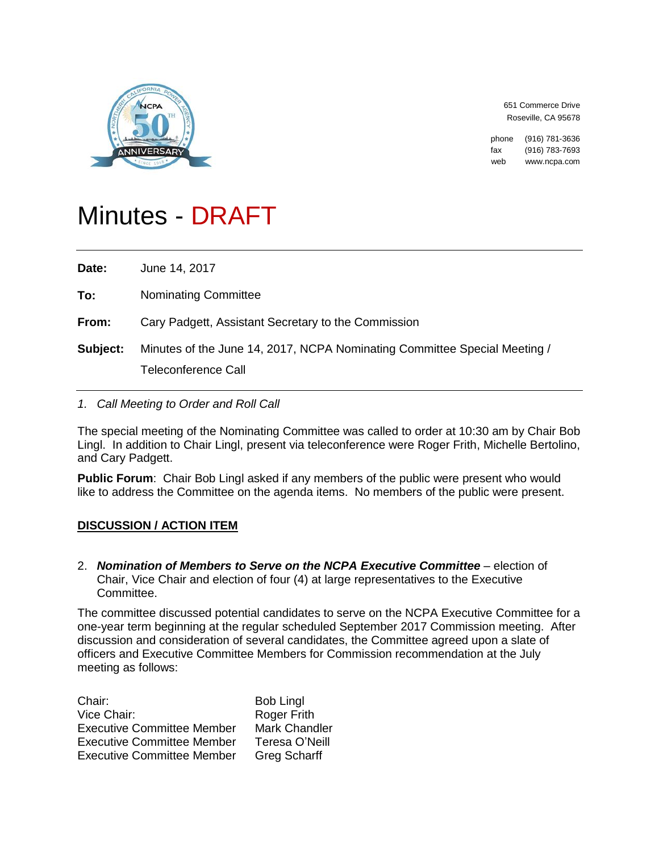

651 Commerce Drive Roseville, CA 95678

phone (916) 781-3636 fax (916) 783-7693 web www.ncpa.com

## Minutes - DRAFT

**Date:** June 14, 2017

**To:** Nominating Committee

**From:** Cary Padgett, Assistant Secretary to the Commission

**Subject:** Minutes of the June 14, 2017, NCPA Nominating Committee Special Meeting / Teleconference Call

## *1. Call Meeting to Order and Roll Call*

The special meeting of the Nominating Committee was called to order at 10:30 am by Chair Bob Lingl. In addition to Chair Lingl, present via teleconference were Roger Frith, Michelle Bertolino, and Cary Padgett.

**Public Forum**: Chair Bob Lingl asked if any members of the public were present who would like to address the Committee on the agenda items. No members of the public were present.

## **DISCUSSION / ACTION ITEM**

2. *Nomination of Members to Serve on the NCPA Executive Committee* – election of Chair, Vice Chair and election of four (4) at large representatives to the Executive Committee.

The committee discussed potential candidates to serve on the NCPA Executive Committee for a one-year term beginning at the regular scheduled September 2017 Commission meeting. After discussion and consideration of several candidates, the Committee agreed upon a slate of officers and Executive Committee Members for Commission recommendation at the July meeting as follows:

| <b>Bob Lingl</b>     |
|----------------------|
| <b>Roger Frith</b>   |
| <b>Mark Chandler</b> |
| Teresa O'Neill       |
| <b>Greg Scharff</b>  |
|                      |